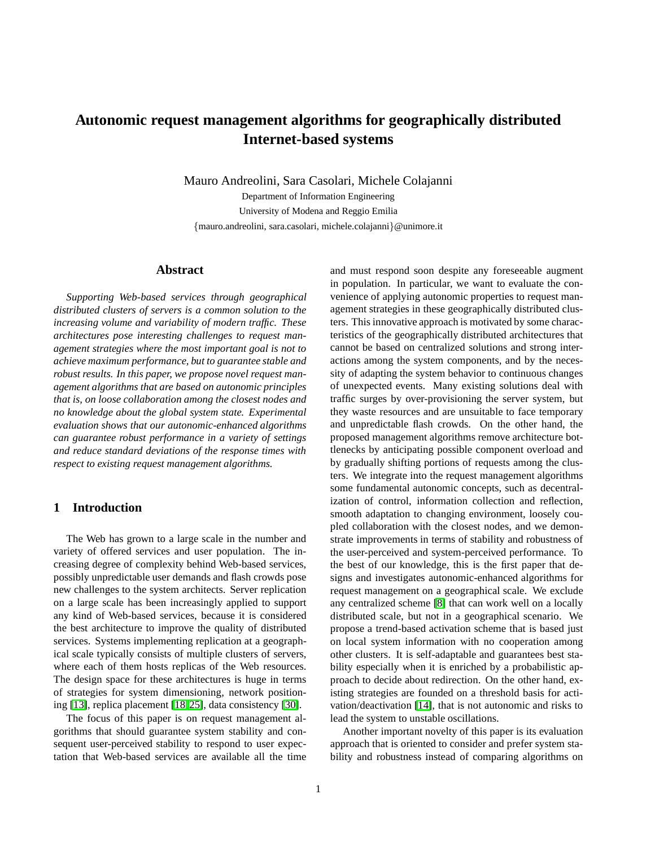# **Autonomic request management algorithms for geographically distributed Internet-based systems**

Mauro Andreolini, Sara Casolari, Michele Colajanni Department of Information Engineering University of Modena and Reggio Emilia {mauro.andreolini, sara.casolari, michele.colajanni}@unimore.it

## **Abstract**

*Supporting Web-based services through geographical distributed clusters of servers is a common solution to the increasing volume and variability of modern traffic. These architectures pose interesting challenges to request management strategies where the most important goal is not to achieve maximum performance, but to guarantee stable and robust results. In this paper, we propose novel request management algorithms that are based on autonomic principles that is, on loose collaboration among the closest nodes and no knowledge about the global system state. Experimental evaluation shows that our autonomic-enhanced algorithms can guarantee robust performance in a variety of settings and reduce standard deviations of the response times with respect to existing request management algorithms.*

## **1 Introduction**

The Web has grown to a large scale in the number and variety of offered services and user population. The increasing degree of complexity behind Web-based services, possibly unpredictable user demands and flash crowds pose new challenges to the system architects. Server replication on a large scale has been increasingly applied to support any kind of Web-based services, because it is considered the best architecture to improve the quality of distributed services. Systems implementing replication at a geographical scale typically consists of multiple clusters of servers, where each of them hosts replicas of the Web resources. The design space for these architectures is huge in terms of strategies for system dimensioning, network positioning [\[13\]](#page-9-0), replica placement [\[18,](#page-9-1) [25\]](#page-9-2), data consistency [\[30\]](#page-9-3).

The focus of this paper is on request management algorithms that should guarantee system stability and consequent user-perceived stability to respond to user expectation that Web-based services are available all the time and must respond soon despite any foreseeable augment in population. In particular, we want to evaluate the convenience of applying autonomic properties to request management strategies in these geographically distributed clusters. This innovative approach is motivated by some characteristics of the geographically distributed architectures that cannot be based on centralized solutions and strong interactions among the system components, and by the necessity of adapting the system behavior to continuous changes of unexpected events. Many existing solutions deal with traffic surges by over-provisioning the server system, but they waste resources and are unsuitable to face temporary and unpredictable flash crowds. On the other hand, the proposed management algorithms remove architecture bottlenecks by anticipating possible component overload and by gradually shifting portions of requests among the clusters. We integrate into the request management algorithms some fundamental autonomic concepts, such as decentralization of control, information collection and reflection, smooth adaptation to changing environment, loosely coupled collaboration with the closest nodes, and we demonstrate improvements in terms of stability and robustness of the user-perceived and system-perceived performance. To the best of our knowledge, this is the first paper that designs and investigates autonomic-enhanced algorithms for request management on a geographical scale. We exclude any centralized scheme [\[8\]](#page-9-4) that can work well on a locally distributed scale, but not in a geographical scenario. We propose a trend-based activation scheme that is based just on local system information with no cooperation among other clusters. It is self-adaptable and guarantees best stability especially when it is enriched by a probabilistic approach to decide about redirection. On the other hand, existing strategies are founded on a threshold basis for activation/deactivation [\[14\]](#page-9-5), that is not autonomic and risks to lead the system to unstable oscillations.

Another important novelty of this paper is its evaluation approach that is oriented to consider and prefer system stability and robustness instead of comparing algorithms on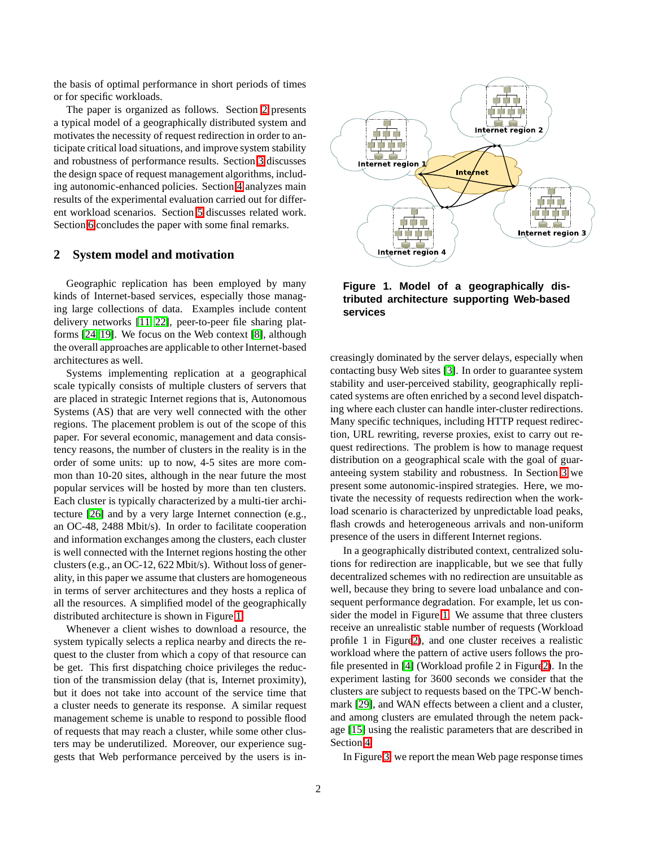the basis of optimal performance in short periods of times or for specific workloads.

The paper is organized as follows. Section [2](#page-1-0) presents a typical model of a geographically distributed system and motivates the necessity of request redirection in order to anticipate critical load situations, and improve system stability and robustness of performance results. Section [3](#page-2-0) discusses the design space of request management algorithms, including autonomic-enhanced policies. Section [4](#page-4-0) analyzes main results of the experimental evaluation carried out for different workload scenarios. Section [5](#page-8-0) discusses related work. Section [6](#page-8-1) concludes the paper with some final remarks.

## <span id="page-1-0"></span>**2 System model and motivation**

Geographic replication has been employed by many kinds of Internet-based services, especially those managing large collections of data. Examples include content delivery networks [\[11,](#page-9-6) [22\]](#page-9-7), peer-to-peer file sharing platforms [\[24,](#page-9-8) [19\]](#page-9-9). We focus on the Web context [\[8\]](#page-9-4), although the overall approaches are applicable to other Internet-based architectures as well.

Systems implementing replication at a geographical scale typically consists of multiple clusters of servers that are placed in strategic Internet regions that is, Autonomous Systems (AS) that are very well connected with the other regions. The placement problem is out of the scope of this paper. For several economic, management and data consistency reasons, the number of clusters in the reality is in the order of some units: up to now, 4-5 sites are more common than 10-20 sites, although in the near future the most popular services will be hosted by more than ten clusters. Each cluster is typically characterized by a multi-tier architecture [\[26\]](#page-9-10) and by a very large Internet connection (e.g., an OC-48, 2488 Mbit/s). In order to facilitate cooperation and information exchanges among the clusters, each cluster is well connected with the Internet regions hosting the other clusters (e.g., an OC-12, 622 Mbit/s). Without loss of generality, in this paper we assume that clusters are homogeneous in terms of server architectures and they hosts a replica of all the resources. A simplified model of the geographically distributed architecture is shown in Figure [1.](#page-1-1)

Whenever a client wishes to download a resource, the system typically selects a replica nearby and directs the request to the cluster from which a copy of that resource can be get. This first dispatching choice privileges the reduction of the transmission delay (that is, Internet proximity), but it does not take into account of the service time that a cluster needs to generate its response. A similar request management scheme is unable to respond to possible flood of requests that may reach a cluster, while some other clusters may be underutilized. Moreover, our experience suggests that Web performance perceived by the users is in-



<span id="page-1-1"></span>**Figure 1. Model of a geographically distributed architecture supporting Web-based services**

creasingly dominated by the server delays, especially when contacting busy Web sites [\[3\]](#page-9-11). In order to guarantee system stability and user-perceived stability, geographically replicated systems are often enriched by a second level dispatching where each cluster can handle inter-cluster redirections. Many specific techniques, including HTTP request redirection, URL rewriting, reverse proxies, exist to carry out request redirections. The problem is how to manage request distribution on a geographical scale with the goal of guaranteeing system stability and robustness. In Section [3](#page-2-0) we present some autonomic-inspired strategies. Here, we motivate the necessity of requests redirection when the workload scenario is characterized by unpredictable load peaks, flash crowds and heterogeneous arrivals and non-uniform presence of the users in different Internet regions.

In a geographically distributed context, centralized solutions for redirection are inapplicable, but we see that fully decentralized schemes with no redirection are unsuitable as well, because they bring to severe load unbalance and consequent performance degradation. For example, let us consider the model in Figure [1.](#page-1-1) We assume that three clusters receive an unrealistic stable number of requests (Workload profile 1 in Figur[e2\)](#page-2-1), and one cluster receives a realistic workload where the pattern of active users follows the profile presented in [\[4\]](#page-9-12) (Workload profile 2 in Figur[e2\)](#page-2-1). In the experiment lasting for 3600 seconds we consider that the clusters are subject to requests based on the TPC-W benchmark [\[29\]](#page-9-13), and WAN effects between a client and a cluster, and among clusters are emulated through the netem package [\[15\]](#page-9-14) using the realistic parameters that are described in Section [4.](#page-4-0)

In Figure [3,](#page-2-2) we report the mean Web page response times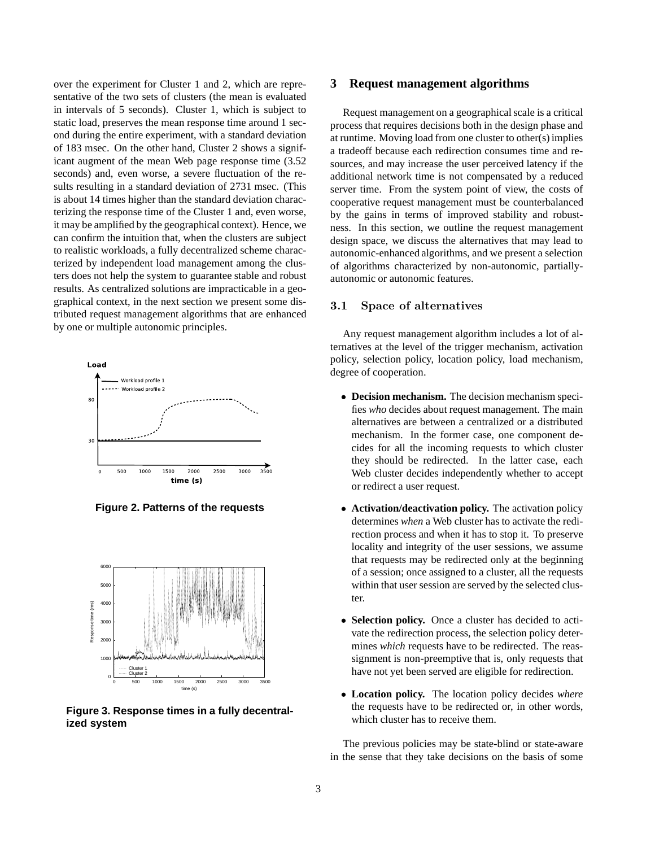over the experiment for Cluster 1 and 2, which are representative of the two sets of clusters (the mean is evaluated in intervals of 5 seconds). Cluster 1, which is subject to static load, preserves the mean response time around 1 second during the entire experiment, with a standard deviation of 183 msec. On the other hand, Cluster 2 shows a significant augment of the mean Web page response time (3.52 seconds) and, even worse, a severe fluctuation of the results resulting in a standard deviation of 2731 msec. (This is about 14 times higher than the standard deviation characterizing the response time of the Cluster 1 and, even worse, it may be amplified by the geographical context). Hence, we can confirm the intuition that, when the clusters are subject to realistic workloads, a fully decentralized scheme characterized by independent load management among the clusters does not help the system to guarantee stable and robust results. As centralized solutions are impracticable in a geographical context, in the next section we present some distributed request management algorithms that are enhanced by one or multiple autonomic principles.



<span id="page-2-1"></span>**Figure 2. Patterns of the requests**



<span id="page-2-2"></span>**Figure 3. Response times in a fully decentralized system**

## <span id="page-2-0"></span>**3 Request management algorithms**

Request management on a geographical scale is a critical process that requires decisions both in the design phase and at runtime. Moving load from one cluster to other(s) implies a tradeoff because each redirection consumes time and resources, and may increase the user perceived latency if the additional network time is not compensated by a reduced server time. From the system point of view, the costs of cooperative request management must be counterbalanced by the gains in terms of improved stability and robustness. In this section, we outline the request management design space, we discuss the alternatives that may lead to autonomic-enhanced algorithms, and we present a selection of algorithms characterized by non-autonomic, partiallyautonomic or autonomic features.

## 3.1 Space of alternatives

Any request management algorithm includes a lot of alternatives at the level of the trigger mechanism, activation policy, selection policy, location policy, load mechanism, degree of cooperation.

- **Decision mechanism.** The decision mechanism specifies *who* decides about request management. The main alternatives are between a centralized or a distributed mechanism. In the former case, one component decides for all the incoming requests to which cluster they should be redirected. In the latter case, each Web cluster decides independently whether to accept or redirect a user request.
- **Activation/deactivation policy.** The activation policy determines *when* a Web cluster has to activate the redirection process and when it has to stop it. To preserve locality and integrity of the user sessions, we assume that requests may be redirected only at the beginning of a session; once assigned to a cluster, all the requests within that user session are served by the selected cluster.
- **Selection policy.** Once a cluster has decided to activate the redirection process, the selection policy determines *which* requests have to be redirected. The reassignment is non-preemptive that is, only requests that have not yet been served are eligible for redirection.
- **Location policy.** The location policy decides *where* the requests have to be redirected or, in other words, which cluster has to receive them.

The previous policies may be state-blind or state-aware in the sense that they take decisions on the basis of some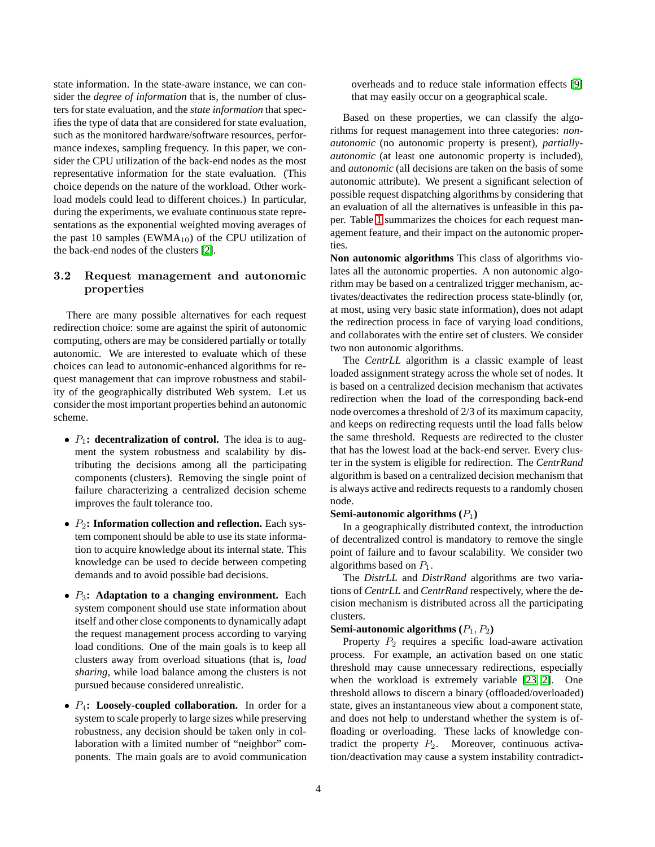state information. In the state-aware instance, we can consider the *degree of information* that is, the number of clusters for state evaluation, and the *state information* that specifies the type of data that are considered for state evaluation, such as the monitored hardware/software resources, performance indexes, sampling frequency. In this paper, we consider the CPU utilization of the back-end nodes as the most representative information for the state evaluation. (This choice depends on the nature of the workload. Other workload models could lead to different choices.) In particular, during the experiments, we evaluate continuous state representations as the exponential weighted moving averages of the past 10 samples (EWMA<sub>10</sub>) of the CPU utilization of the back-end nodes of the clusters [\[2\]](#page-9-15).

## 3.2 Request management and autonomic properties

There are many possible alternatives for each request redirection choice: some are against the spirit of autonomic computing, others are may be considered partially or totally autonomic. We are interested to evaluate which of these choices can lead to autonomic-enhanced algorithms for request management that can improve robustness and stability of the geographically distributed Web system. Let us consider the most important properties behind an autonomic scheme.

- $P_1$ : decentralization of control. The idea is to augment the system robustness and scalability by distributing the decisions among all the participating components (clusters). Removing the single point of failure characterizing a centralized decision scheme improves the fault tolerance too.
- $P_2$ : Information collection and reflection. Each system component should be able to use its state information to acquire knowledge about its internal state. This knowledge can be used to decide between competing demands and to avoid possible bad decisions.
- $P_3$ : **Adaptation to a changing environment.** Each system component should use state information about itself and other close components to dynamically adapt the request management process according to varying load conditions. One of the main goals is to keep all clusters away from overload situations (that is, *load sharing*, while load balance among the clusters is not pursued because considered unrealistic.
- $P_4$ : **Loosely-coupled collaboration.** In order for a system to scale properly to large sizes while preserving robustness, any decision should be taken only in collaboration with a limited number of "neighbor" components. The main goals are to avoid communication

overheads and to reduce stale information effects [\[9\]](#page-9-16) that may easily occur on a geographical scale.

Based on these properties, we can classify the algorithms for request management into three categories: *nonautonomic* (no autonomic property is present), *partiallyautonomic* (at least one autonomic property is included), and *autonomic* (all decisions are taken on the basis of some autonomic attribute). We present a significant selection of possible request dispatching algorithms by considering that an evaluation of all the alternatives is unfeasible in this paper. Table [1](#page-4-1) summarizes the choices for each request management feature, and their impact on the autonomic properties.

**Non autonomic algorithms** This class of algorithms violates all the autonomic properties. A non autonomic algorithm may be based on a centralized trigger mechanism, activates/deactivates the redirection process state-blindly (or, at most, using very basic state information), does not adapt the redirection process in face of varying load conditions, and collaborates with the entire set of clusters. We consider two non autonomic algorithms.

The *CentrLL* algorithm is a classic example of least loaded assignment strategy across the whole set of nodes. It is based on a centralized decision mechanism that activates redirection when the load of the corresponding back-end node overcomes a threshold of 2/3 of its maximum capacity, and keeps on redirecting requests until the load falls below the same threshold. Requests are redirected to the cluster that has the lowest load at the back-end server. Every cluster in the system is eligible for redirection. The *CentrRand* algorithm is based on a centralized decision mechanism that is always active and redirects requests to a randomly chosen node.

#### **Semi-autonomic algorithms**  $(P_1)$

In a geographically distributed context, the introduction of decentralized control is mandatory to remove the single point of failure and to favour scalability. We consider two algorithms based on  $P_1$ .

The *DistrLL* and *DistrRand* algorithms are two variations of *CentrLL* and *CentrRand* respectively, where the decision mechanism is distributed across all the participating clusters.

#### **Semi-autonomic algorithms**  $(P_1, P_2)$

Property  $P_2$  requires a specific load-aware activation process. For example, an activation based on one static threshold may cause unnecessary redirections, especially when the workload is extremely variable [\[23,](#page-9-17) [2\]](#page-9-15). One threshold allows to discern a binary (offloaded/overloaded) state, gives an instantaneous view about a component state, and does not help to understand whether the system is offloading or overloading. These lacks of knowledge contradict the property  $P_2$ . Moreover, continuous activation/deactivation may cause a system instability contradict-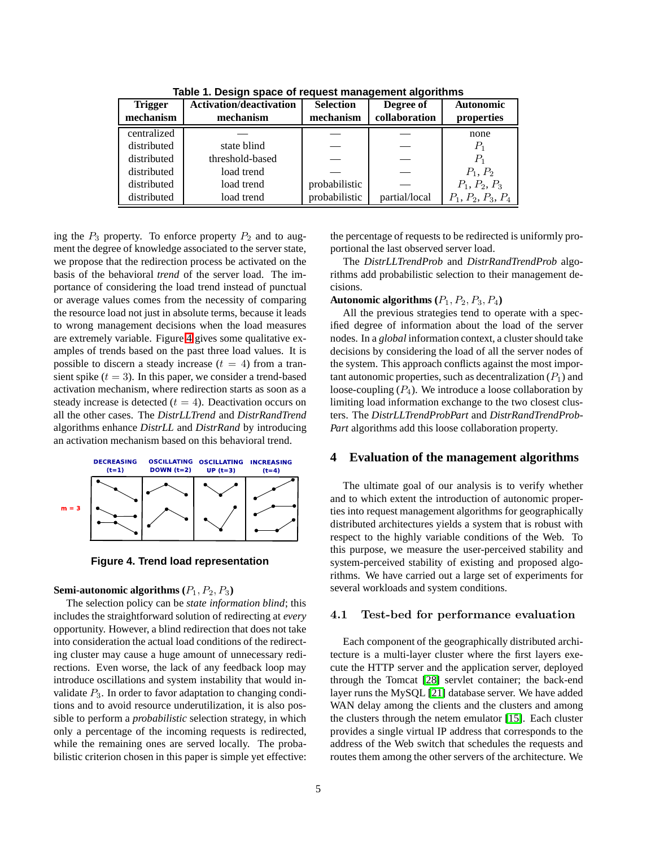<span id="page-4-1"></span>

| <b>Trigger</b> | <b>Activation/deactivation</b> | <b>Selection</b> | Degree of     | <b>Autonomic</b>     |  |
|----------------|--------------------------------|------------------|---------------|----------------------|--|
| mechanism      | mechanism                      | mechanism        | collaboration | properties           |  |
| centralized    |                                |                  |               | none                 |  |
| distributed    | state blind                    |                  |               | $P_1$                |  |
| distributed    | threshold-based                |                  |               | $P_1$                |  |
| distributed    | load trend                     |                  |               | $P_1, P_2$           |  |
| distributed    | load trend                     | probabilistic    |               | $P_1, P_2, P_3$      |  |
| distributed    | load trend                     | probabilistic    | partial/local | $P_1, P_2, P_3, P_4$ |  |

**Table 1. Design space of request management algorithms**

ing the  $P_3$  property. To enforce property  $P_2$  and to augment the degree of knowledge associated to the server state, we propose that the redirection process be activated on the basis of the behavioral *trend* of the server load. The importance of considering the load trend instead of punctual or average values comes from the necessity of comparing the resource load not just in absolute terms, because it leads to wrong management decisions when the load measures are extremely variable. Figure [4](#page-4-2) gives some qualitative examples of trends based on the past three load values. It is possible to discern a steady increase  $(t = 4)$  from a transient spike  $(t = 3)$ . In this paper, we consider a trend-based activation mechanism, where redirection starts as soon as a steady increase is detected  $(t = 4)$ . Deactivation occurs on all the other cases. The *DistrLLTrend* and *DistrRandTrend* algorithms enhance *DistrLL* and *DistrRand* by introducing an activation mechanism based on this behavioral trend.



**Figure 4. Trend load representation**

#### <span id="page-4-2"></span>**Semi-autonomic algorithms**  $(P_1, P_2, P_3)$

The selection policy can be *state information blind*; this includes the straightforward solution of redirecting at *every* opportunity. However, a blind redirection that does not take into consideration the actual load conditions of the redirecting cluster may cause a huge amount of unnecessary redirections. Even worse, the lack of any feedback loop may introduce oscillations and system instability that would invalidate  $P_3$ . In order to favor adaptation to changing conditions and to avoid resource underutilization, it is also possible to perform a *probabilistic* selection strategy, in which only a percentage of the incoming requests is redirected, while the remaining ones are served locally. The probabilistic criterion chosen in this paper is simple yet effective: the percentage of requests to be redirected is uniformly proportional the last observed server load.

The *DistrLLTrendProb* and *DistrRandTrendProb* algorithms add probabilistic selection to their management decisions.

Autonomic algorithms  $(P_1, P_2, P_3, P_4)$ 

All the previous strategies tend to operate with a specified degree of information about the load of the server nodes. In a *global* information context, a cluster should take decisions by considering the load of all the server nodes of the system. This approach conflicts against the most important autonomic properties, such as decentralization  $(P_1)$  and loose-coupling  $(P_4)$ . We introduce a loose collaboration by limiting load information exchange to the two closest clusters. The *DistrLLTrendProbPart* and *DistrRandTrendProb-Part* algorithms add this loose collaboration property.

## <span id="page-4-0"></span>**4 Evaluation of the management algorithms**

The ultimate goal of our analysis is to verify whether and to which extent the introduction of autonomic properties into request management algorithms for geographically distributed architectures yields a system that is robust with respect to the highly variable conditions of the Web. To this purpose, we measure the user-perceived stability and system-perceived stability of existing and proposed algorithms. We have carried out a large set of experiments for several workloads and system conditions.

## 4.1 Test-bed for performance evaluation

Each component of the geographically distributed architecture is a multi-layer cluster where the first layers execute the HTTP server and the application server, deployed through the Tomcat [\[28\]](#page-9-18) servlet container; the back-end layer runs the MySQL [\[21\]](#page-9-19) database server. We have added WAN delay among the clients and the clusters and among the clusters through the netem emulator [\[15\]](#page-9-14). Each cluster provides a single virtual IP address that corresponds to the address of the Web switch that schedules the requests and routes them among the other servers of the architecture. We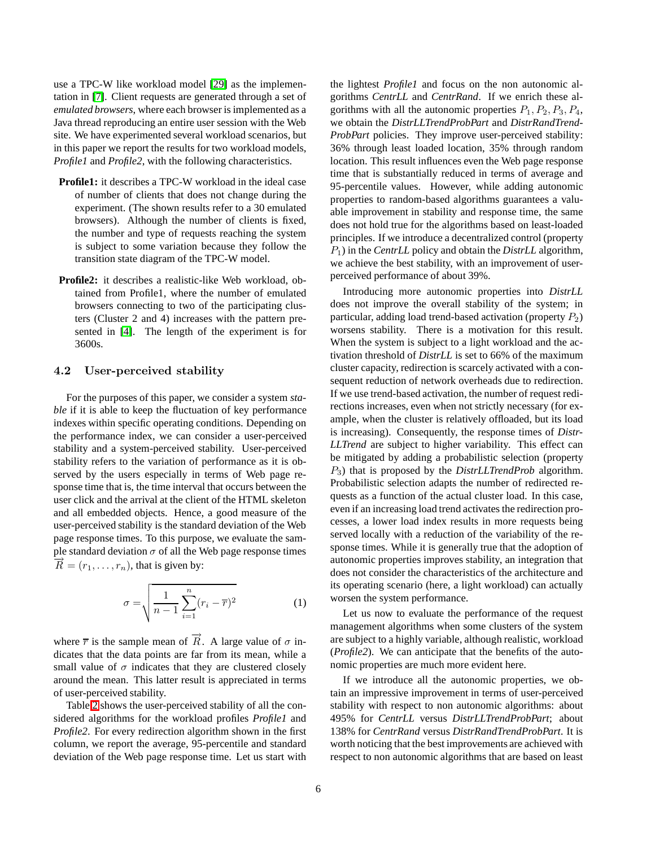use a TPC-W like workload model [\[29\]](#page-9-13) as the implementation in [\[7\]](#page-9-20). Client requests are generated through a set of *emulated browsers*, where each browser is implemented as a Java thread reproducing an entire user session with the Web site. We have experimented several workload scenarios, but in this paper we report the results for two workload models, *Profile1* and *Profile2*, with the following characteristics.

- **Profile1:** it describes a TPC-W workload in the ideal case of number of clients that does not change during the experiment. (The shown results refer to a 30 emulated browsers). Although the number of clients is fixed, the number and type of requests reaching the system is subject to some variation because they follow the transition state diagram of the TPC-W model.
- **Profile2:** it describes a realistic-like Web workload, obtained from Profile1, where the number of emulated browsers connecting to two of the participating clusters (Cluster 2 and 4) increases with the pattern presented in [\[4\]](#page-9-12). The length of the experiment is for 3600s.

#### 4.2 User-perceived stability

For the purposes of this paper, we consider a system *stable* if it is able to keep the fluctuation of key performance indexes within specific operating conditions. Depending on the performance index, we can consider a user-perceived stability and a system-perceived stability. User-perceived stability refers to the variation of performance as it is observed by the users especially in terms of Web page response time that is, the time interval that occurs between the user click and the arrival at the client of the HTML skeleton and all embedded objects. Hence, a good measure of the user-perceived stability is the standard deviation of the Web page response times. To this purpose, we evaluate the sample standard deviation  $\sigma$  of all the Web page response times  $\overrightarrow{R} = (r_1, \ldots, r_n)$ , that is given by:

$$
\sigma = \sqrt{\frac{1}{n-1} \sum_{i=1}^{n} (r_i - \overline{r})^2}
$$
 (1)

where  $\bar{r}$  is the sample mean of  $\overrightarrow{R}$ . A large value of  $\sigma$  indicates that the data points are far from its mean, while a small value of  $\sigma$  indicates that they are clustered closely around the mean. This latter result is appreciated in terms of user-perceived stability.

Table [2](#page-6-0) shows the user-perceived stability of all the considered algorithms for the workload profiles *Profile1* and *Profile2*. For every redirection algorithm shown in the first column, we report the average, 95-percentile and standard deviation of the Web page response time. Let us start with the lightest *Profile1* and focus on the non autonomic algorithms *CentrLL* and *CentrRand*. If we enrich these algorithms with all the autonomic properties  $P_1$ ,  $P_2$ ,  $P_3$ ,  $P_4$ , we obtain the *DistrLLTrendProbPart* and *DistrRandTrend-ProbPart* policies. They improve user-perceived stability: 36% through least loaded location, 35% through random location. This result influences even the Web page response time that is substantially reduced in terms of average and 95-percentile values. However, while adding autonomic properties to random-based algorithms guarantees a valuable improvement in stability and response time, the same does not hold true for the algorithms based on least-loaded principles. If we introduce a decentralized control (property P1) in the *CentrLL* policy and obtain the *DistrLL* algorithm, we achieve the best stability, with an improvement of userperceived performance of about 39%.

Introducing more autonomic properties into *DistrLL* does not improve the overall stability of the system; in particular, adding load trend-based activation (property  $P_2$ ) worsens stability. There is a motivation for this result. When the system is subject to a light workload and the activation threshold of *DistrLL* is set to 66% of the maximum cluster capacity, redirection is scarcely activated with a consequent reduction of network overheads due to redirection. If we use trend-based activation, the number of request redirections increases, even when not strictly necessary (for example, when the cluster is relatively offloaded, but its load is increasing). Consequently, the response times of *Distr-LLTrend* are subject to higher variability. This effect can be mitigated by adding a probabilistic selection (property P3) that is proposed by the *DistrLLTrendProb* algorithm. Probabilistic selection adapts the number of redirected requests as a function of the actual cluster load. In this case, even if an increasing load trend activates the redirection processes, a lower load index results in more requests being served locally with a reduction of the variability of the response times. While it is generally true that the adoption of autonomic properties improves stability, an integration that does not consider the characteristics of the architecture and its operating scenario (here, a light workload) can actually worsen the system performance.

Let us now to evaluate the performance of the request management algorithms when some clusters of the system are subject to a highly variable, although realistic, workload (*Profile2*). We can anticipate that the benefits of the autonomic properties are much more evident here.

If we introduce all the autonomic properties, we obtain an impressive improvement in terms of user-perceived stability with respect to non autonomic algorithms: about 495% for *CentrLL* versus *DistrLLTrendProbPart*; about 138% for *CentrRand* versus *DistrRandTrendProbPart*. It is worth noticing that the best improvements are achieved with respect to non autonomic algorithms that are based on least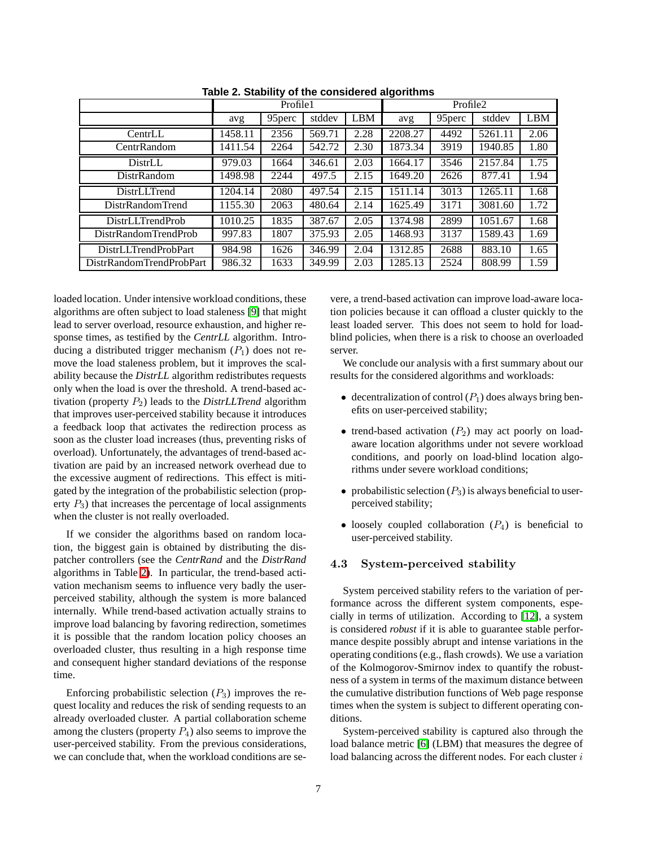|                          | Profile1 |         |        |            | Profile2 |                    |         |            |
|--------------------------|----------|---------|--------|------------|----------|--------------------|---------|------------|
|                          | avg      | 95 perc | stddev | <b>LBM</b> | avg      | 95 <sub>perc</sub> | stddev  | <b>LBM</b> |
| CentrLL                  | 1458.11  | 2356    | 569.71 | 2.28       | 2208.27  | 4492               | 5261.11 | 2.06       |
| CentrRandom              | 1411.54  | 2264    | 542.72 | 2.30       | 1873.34  | 3919               | 1940.85 | 1.80       |
| <b>DistrLL</b>           | 979.03   | 1664    | 346.61 | 2.03       | 1664.17  | 3546               | 2157.84 | 1.75       |
| DistrRandom              | 1498.98  | 2244    | 497.5  | 2.15       | 1649.20  | 2626               | 877.41  | 1.94       |
| DistrLLTrend             | 1204.14  | 2080    | 497.54 | 2.15       | 1511.14  | 3013               | 1265.11 | 1.68       |
| DistrRandomTrend         | 1155.30  | 2063    | 480.64 | 2.14       | 1625.49  | 3171               | 3081.60 | 1.72       |
| <b>DistrLLTrendProb</b>  | 1010.25  | 1835    | 387.67 | 2.05       | 1374.98  | 2899               | 1051.67 | 1.68       |
| DistrRandomTrendProb     | 997.83   | 1807    | 375.93 | 2.05       | 1468.93  | 3137               | 1589.43 | 1.69       |
| DistrLLTrendProbPart     | 984.98   | 1626    | 346.99 | 2.04       | 1312.85  | 2688               | 883.10  | 1.65       |
| DistrRandomTrendProbPart | 986.32   | 1633    | 349.99 | 2.03       | 1285.13  | 2524               | 808.99  | 1.59       |

<span id="page-6-0"></span>**Table 2. Stability of the considered algorithms**

loaded location. Under intensive workload conditions, these algorithms are often subject to load staleness [\[9\]](#page-9-16) that might lead to server overload, resource exhaustion, and higher response times, as testified by the *CentrLL* algorithm. Introducing a distributed trigger mechanism  $(P_1)$  does not remove the load staleness problem, but it improves the scalability because the *DistrLL* algorithm redistributes requests only when the load is over the threshold. A trend-based activation (property P2) leads to the *DistrLLTrend* algorithm that improves user-perceived stability because it introduces a feedback loop that activates the redirection process as soon as the cluster load increases (thus, preventing risks of overload). Unfortunately, the advantages of trend-based activation are paid by an increased network overhead due to the excessive augment of redirections. This effect is mitigated by the integration of the probabilistic selection (property  $P_3$ ) that increases the percentage of local assignments when the cluster is not really overloaded.

If we consider the algorithms based on random location, the biggest gain is obtained by distributing the dispatcher controllers (see the *CentrRand* and the *DistrRand* algorithms in Table [2\)](#page-6-0). In particular, the trend-based activation mechanism seems to influence very badly the userperceived stability, although the system is more balanced internally. While trend-based activation actually strains to improve load balancing by favoring redirection, sometimes it is possible that the random location policy chooses an overloaded cluster, thus resulting in a high response time and consequent higher standard deviations of the response time.

Enforcing probabilistic selection  $(P_3)$  improves the request locality and reduces the risk of sending requests to an already overloaded cluster. A partial collaboration scheme among the clusters (property  $P_4$ ) also seems to improve the user-perceived stability. From the previous considerations, we can conclude that, when the workload conditions are severe, a trend-based activation can improve load-aware location policies because it can offload a cluster quickly to the least loaded server. This does not seem to hold for loadblind policies, when there is a risk to choose an overloaded server.

We conclude our analysis with a first summary about our results for the considered algorithms and workloads:

- decentralization of control  $(P_1)$  does always bring benefits on user-perceived stability;
- trend-based activation  $(P_2)$  may act poorly on loadaware location algorithms under not severe workload conditions, and poorly on load-blind location algorithms under severe workload conditions;
- probabilistic selection  $(P_3)$  is always beneficial to userperceived stability;
- loosely coupled collaboration  $(P_4)$  is beneficial to user-perceived stability.

#### 4.3 System-perceived stability

System perceived stability refers to the variation of performance across the different system components, especially in terms of utilization. According to [\[12\]](#page-9-21), a system is considered *robust* if it is able to guarantee stable performance despite possibly abrupt and intense variations in the operating conditions (e.g., flash crowds). We use a variation of the Kolmogorov-Smirnov index to quantify the robustness of a system in terms of the maximum distance between the cumulative distribution functions of Web page response times when the system is subject to different operating conditions.

System-perceived stability is captured also through the load balance metric [\[6\]](#page-9-22) (LBM) that measures the degree of load balancing across the different nodes. For each cluster  $i$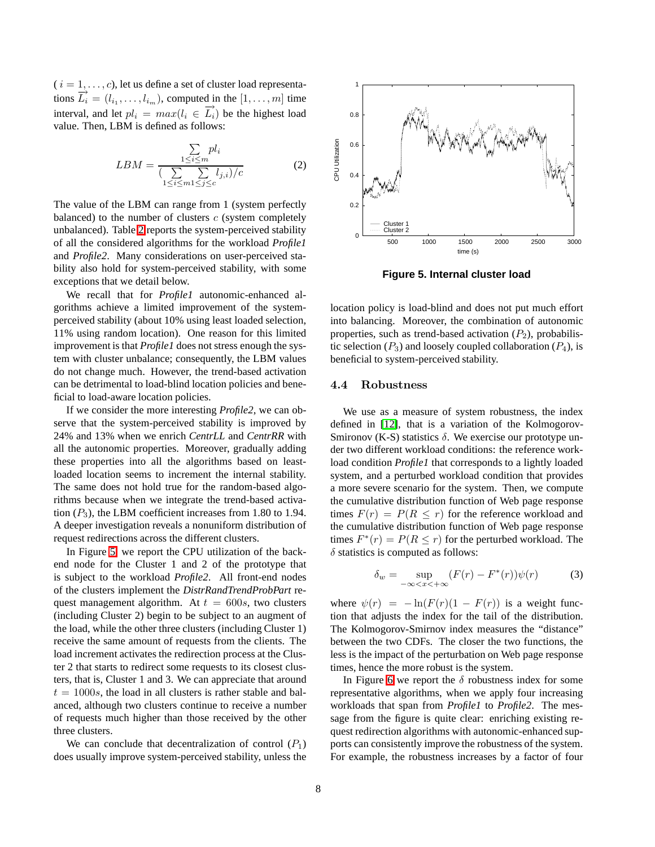$(i = 1, \ldots, c)$ , let us define a set of cluster load representations  $\overrightarrow{L_i} = (l_{i_1}, \ldots, l_{i_m})$ , computed in the  $[1, \ldots, m]$  time interval, and let  $pl_i = max(l_i \in \overrightarrow{L_i})$  be the highest load value. Then, LBM is defined as follows:

$$
LBM = \frac{\sum\limits_{1 \le i \le m} pl_i}{\left(\sum\limits_{1 \le i \le m} \sum\limits_{1 \le j \le c} l_{j,i}\right)/c}
$$
 (2)

The value of the LBM can range from 1 (system perfectly balanced) to the number of clusters  $c$  (system completely unbalanced). Table [2](#page-6-0) reports the system-perceived stability of all the considered algorithms for the workload *Profile1* and *Profile2*. Many considerations on user-perceived stability also hold for system-perceived stability, with some exceptions that we detail below.

We recall that for *Profile1* autonomic-enhanced algorithms achieve a limited improvement of the systemperceived stability (about 10% using least loaded selection, 11% using random location). One reason for this limited improvement is that *Profile1* does not stress enough the system with cluster unbalance; consequently, the LBM values do not change much. However, the trend-based activation can be detrimental to load-blind location policies and beneficial to load-aware location policies.

If we consider the more interesting *Profile2*, we can observe that the system-perceived stability is improved by 24% and 13% when we enrich *CentrLL* and *CentrRR* with all the autonomic properties. Moreover, gradually adding these properties into all the algorithms based on leastloaded location seems to increment the internal stability. The same does not hold true for the random-based algorithms because when we integrate the trend-based activation  $(P_3)$ , the LBM coefficient increases from 1.80 to 1.94. A deeper investigation reveals a nonuniform distribution of request redirections across the different clusters.

In Figure [5,](#page-7-0) we report the CPU utilization of the backend node for the Cluster 1 and 2 of the prototype that is subject to the workload *Profile2*. All front-end nodes of the clusters implement the *DistrRandTrendProbPart* request management algorithm. At  $t = 600s$ , two clusters (including Cluster 2) begin to be subject to an augment of the load, while the other three clusters (including Cluster 1) receive the same amount of requests from the clients. The load increment activates the redirection process at the Cluster 2 that starts to redirect some requests to its closest clusters, that is, Cluster 1 and 3. We can appreciate that around  $t = 1000s$ , the load in all clusters is rather stable and balanced, although two clusters continue to receive a number of requests much higher than those received by the other three clusters.

We can conclude that decentralization of control  $(P_1)$ does usually improve system-perceived stability, unless the



<span id="page-7-0"></span>**Figure 5. Internal cluster load**

location policy is load-blind and does not put much effort into balancing. Moreover, the combination of autonomic properties, such as trend-based activation  $(P_2)$ , probabilistic selection  $(P_3)$  and loosely coupled collaboration  $(P_4)$ , is beneficial to system-perceived stability.

#### 4.4 Robustness

We use as a measure of system robustness, the index defined in [\[12\]](#page-9-21), that is a variation of the Kolmogorov-Smironov (K-S) statistics  $\delta$ . We exercise our prototype under two different workload conditions: the reference workload condition *Profile1* that corresponds to a lightly loaded system, and a perturbed workload condition that provides a more severe scenario for the system. Then, we compute the cumulative distribution function of Web page response times  $F(r) = P(R \le r)$  for the reference workload and the cumulative distribution function of Web page response times  $F^*(r) = P(R \le r)$  for the perturbed workload. The  $\delta$  statistics is computed as follows:

$$
\delta_w = \sup_{-\infty < x < +\infty} (F(r) - F^*(r))\psi(r) \tag{3}
$$

where  $\psi(r) = -\ln(F(r)(1 - F(r))$  is a weight function that adjusts the index for the tail of the distribution. The Kolmogorov-Smirnov index measures the "distance" between the two CDFs. The closer the two functions, the less is the impact of the perturbation on Web page response times, hence the more robust is the system.

In Figure [6](#page-8-2) we report the  $\delta$  robustness index for some representative algorithms, when we apply four increasing workloads that span from *Profile1* to *Profile2*. The message from the figure is quite clear: enriching existing request redirection algorithms with autonomic-enhanced supports can consistently improve the robustness of the system. For example, the robustness increases by a factor of four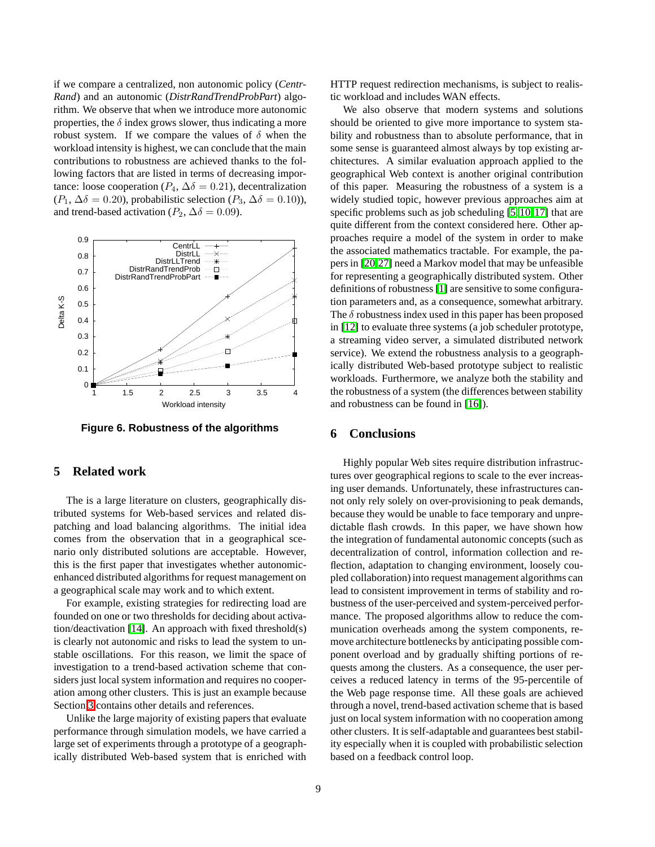if we compare a centralized, non autonomic policy (*Centr-Rand*) and an autonomic (*DistrRandTrendProbPart*) algorithm. We observe that when we introduce more autonomic properties, the  $\delta$  index grows slower, thus indicating a more robust system. If we compare the values of  $\delta$  when the workload intensity is highest, we can conclude that the main contributions to robustness are achieved thanks to the following factors that are listed in terms of decreasing importance: loose cooperation ( $P_4$ ,  $\Delta\delta = 0.21$ ), decentralization  $(P_1, \Delta \delta = 0.20)$ , probabilistic selection  $(P_3, \Delta \delta = 0.10)$ ), and trend-based activation ( $P_2$ ,  $\Delta\delta = 0.09$ ).



<span id="page-8-2"></span>**Figure 6. Robustness of the algorithms**

# <span id="page-8-0"></span>**5 Related work**

The is a large literature on clusters, geographically distributed systems for Web-based services and related dispatching and load balancing algorithms. The initial idea comes from the observation that in a geographical scenario only distributed solutions are acceptable. However, this is the first paper that investigates whether autonomicenhanced distributed algorithms for request management on a geographical scale may work and to which extent.

For example, existing strategies for redirecting load are founded on one or two thresholds for deciding about activation/deactivation [\[14\]](#page-9-5). An approach with fixed threshold(s) is clearly not autonomic and risks to lead the system to unstable oscillations. For this reason, we limit the space of investigation to a trend-based activation scheme that considers just local system information and requires no cooperation among other clusters. This is just an example because Section [3](#page-2-0) contains other details and references.

Unlike the large majority of existing papers that evaluate performance through simulation models, we have carried a large set of experiments through a prototype of a geographically distributed Web-based system that is enriched with HTTP request redirection mechanisms, is subject to realistic workload and includes WAN effects.

We also observe that modern systems and solutions should be oriented to give more importance to system stability and robustness than to absolute performance, that in some sense is guaranteed almost always by top existing architectures. A similar evaluation approach applied to the geographical Web context is another original contribution of this paper. Measuring the robustness of a system is a widely studied topic, however previous approaches aim at specific problems such as job scheduling [\[5,](#page-9-23) [10,](#page-9-24) [17\]](#page-9-25) that are quite different from the context considered here. Other approaches require a model of the system in order to make the associated mathematics tractable. For example, the papers in [\[20,](#page-9-26)[27\]](#page-9-27) need a Markov model that may be unfeasible for representing a geographically distributed system. Other definitions of robustness [\[1\]](#page-9-28) are sensitive to some configuration parameters and, as a consequence, somewhat arbitrary. The  $\delta$  robustness index used in this paper has been proposed in [\[12\]](#page-9-21) to evaluate three systems (a job scheduler prototype, a streaming video server, a simulated distributed network service). We extend the robustness analysis to a geographically distributed Web-based prototype subject to realistic workloads. Furthermore, we analyze both the stability and the robustness of a system (the differences between stability and robustness can be found in [\[16\]](#page-9-29)).

## <span id="page-8-1"></span>**6 Conclusions**

Highly popular Web sites require distribution infrastructures over geographical regions to scale to the ever increasing user demands. Unfortunately, these infrastructures cannot only rely solely on over-provisioning to peak demands, because they would be unable to face temporary and unpredictable flash crowds. In this paper, we have shown how the integration of fundamental autonomic concepts (such as decentralization of control, information collection and reflection, adaptation to changing environment, loosely coupled collaboration) into request management algorithms can lead to consistent improvement in terms of stability and robustness of the user-perceived and system-perceived performance. The proposed algorithms allow to reduce the communication overheads among the system components, remove architecture bottlenecks by anticipating possible component overload and by gradually shifting portions of requests among the clusters. As a consequence, the user perceives a reduced latency in terms of the 95-percentile of the Web page response time. All these goals are achieved through a novel, trend-based activation scheme that is based just on local system information with no cooperation among other clusters. It is self-adaptable and guarantees best stability especially when it is coupled with probabilistic selection based on a feedback control loop.